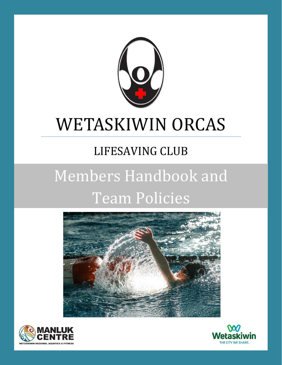

## WETASKIWIN ORCAS

## LIFESAVING CLUB

# Members Handbook and Team Policies





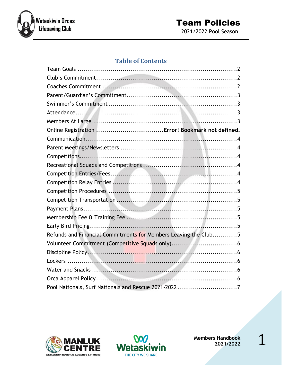

#### **Team Policies** 2021/2022 Pool Season

#### **Table of Contents**

| Online Registration  Error! Bookmark not defined.               |  |
|-----------------------------------------------------------------|--|
|                                                                 |  |
|                                                                 |  |
|                                                                 |  |
|                                                                 |  |
|                                                                 |  |
|                                                                 |  |
|                                                                 |  |
|                                                                 |  |
|                                                                 |  |
|                                                                 |  |
|                                                                 |  |
| Refunds and Financial Commitments for Members Leaving the Club5 |  |
|                                                                 |  |
|                                                                 |  |
|                                                                 |  |
|                                                                 |  |
|                                                                 |  |
| Pool Nationals, Surf Nationals and Rescue 2021-2022 7           |  |



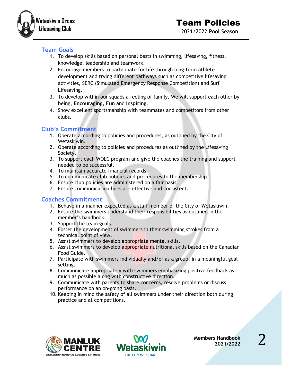

#### <span id="page-2-0"></span>**Team Goals**

- 1. To develop skills based on personal bests in swimming, lifesaving, fitness, knowledge, leadership and teamwork.
- 2. Encourage members to participate for life through long-term athlete development and trying different pathways such as competitive lifesaving activities, SERC (Simulated Emergency Response Competition) and Surf Lifesaving.
- 3. To develop within our squads a feeling of family. We will support each other by being, **Encouraging**, **Fun** and **Inspiring**.
- 4. Show excellent sportsmanship with teammates and competitors from other clubs.

#### <span id="page-2-1"></span>**Club's Commitment**

- 1. Operate according to policies and procedures, as outlined by the City of Wetaskiwin.
- 2. Operate according to policies and procedures as outlined by the Lifesaving Society.
- 3. To support each WOLC program and give the coaches the training and support needed to be successful.
- 4. To maintain accurate financial records.
- 5. To communicate club policies and procedures to the membership.
- 6. Ensure club policies are administered on a fair basis.
- 7. Ensure communication lines are effective and consistent.

#### <span id="page-2-2"></span>**Coaches Commitment**

- 1. Behave in a manner expected as a staff member of the City of Wetaskiwin.
- 2. Ensure the swimmers understand their responsibilities as outlined in the member's handbook.
- 3. Support the team goals.
- 4. Foster the development of swimmers in their swimming strokes from a technical point of view.
- 5. Assist swimmers to develop appropriate mental skills.
- 6. Assist swimmers to develop appropriate nutritional skills based on the Canadian Food Guide.
- 7. Participate with swimmers individually and/or as a group, in a meaningful goal setting.
- 8. Communicate appropriately with swimmers emphasizing positive feedback as much as possible along with constructive direction.
- 9. Communicate with parents to share concerns, resolve problems or discuss performance on an on-going basis.
- 10. Keeping in mind the safety of all swimmers under their direction both during practice and at competitions.



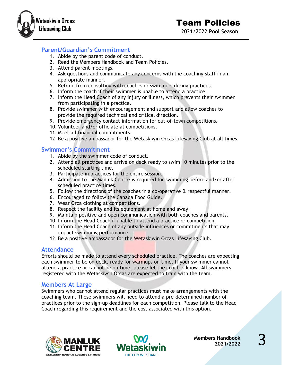

#### <span id="page-3-0"></span>**Parent/Guardian's Commitment**

- 1. Abide by the parent code of conduct.
- 2. Read the Members Handbook and Team Policies.
- 3. Attend parent meetings.
- 4. Ask questions and communicate any concerns with the coaching staff in an appropriate manner.
- 5. Refrain from consulting with coaches or swimmers during practices.
- 6. Inform the coach if their swimmer is unable to attend a practice.
- 7. Inform the Head Coach of any injury or illness, which prevents their swimmer from participating in a practice.
- 8. Provide swimmer with encouragement and support and allow coaches to provide the required technical and critical direction.
- 9. Provide emergency contact information for out-of-town competitions.
- 10. Volunteer and/or officiate at competitions.
- 11. Meet all financial commitments.
- 12. Be a positive ambassador for the Wetaskiwin Orcas Lifesaving Club at all times.

#### <span id="page-3-1"></span>**Swimmer's Commitment**

- 1. Abide by the swimmer code of conduct.
- 2. Attend all practices and arrive on deck ready to swim 10 minutes prior to the scheduled starting time.
- 3. Participate in practices for the entire session.
- 4. Admission to the Manluk Centre is required for swimming before and/or after scheduled practice times.
- 5. Follow the directions of the coaches in a co-operative & respectful manner.
- 6. Encouraged to follow the Canada Food Guide.
- 7. Wear Orca clothing at competitions.
- 8. Respect the facility and its equipment at home and away.
- 9. Maintain positive and open communication with both coaches and parents.
- 10. Inform the Head Coach if unable to attend a practice or competition.
- 11. Inform the Head Coach of any outside influences or commitments that may impact swimming performance.
- 12. Be a positive ambassador for the Wetaskiwin Orcas Lifesaving Club.

#### <span id="page-3-2"></span>**Attendance**

Efforts should be made to attend every scheduled practice. The coaches are expecting each swimmer to be on deck, ready for warmups on time. If your swimmer cannot attend a practice or cannot be on time, please let the coaches know. All swimmers registered with the Wetaskiwin Orcas are expected to train with the team.

#### <span id="page-3-3"></span>**Members At Large**

Swimmers who cannot attend regular practices must make arrangements with the coaching team. These swimmers will need to attend a pre-determined number of practices prior to the sign-up deadlines for each competition. Please talk to the Head Coach regarding this requirement and the cost associated with this option.



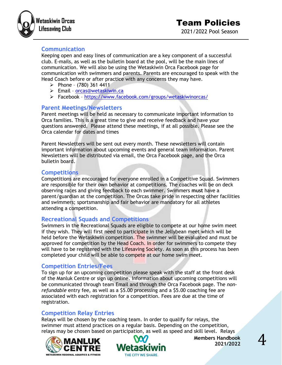



#### <span id="page-4-0"></span>**Communication**

Keeping open and easy lines of communication are a key component of a successful club. E-mails, as well as the bulletin board at the pool, will be the main lines of communication. We will also be using the Wetaskiwin Orca Facebook page for communication with swimmers and parents. Parents are encouraged to speak with the Head Coach before or after practice with any concerns they may have.

- $\triangleright$  Phone (780) 361 4411
- ➢ Email [orcas@wetaskiwin.ca](mailto:orcas@wetaskiwin.ca)
- ➢ Facebook <https://www.facebook.com/groups/wetaskiwinorcas/>

#### <span id="page-4-1"></span>**Parent Meetings/Newsletters**

Parent meetings will be held as necessary to communicate important information to Orca families. This is a great time to give and receive feedback and have your questions answered. Please attend these meetings, if at all possible. Please see the Orca calendar for dates and times

Parent Newsletters will be sent out every month. These newsletters will contain important information about upcoming events and general team information. Parent Newsletters will be distributed via email, the Orca Facebook page, and the Orca bulletin board.

#### <span id="page-4-2"></span>**Competitions**

Competitions are encouraged for everyone enrolled in a Competitive Squad. Swimmers are responsible for their own behavior at competitions. The coaches will be on deck observing races and giving feedback to each swimmer. Swimmers **must** have a parent/guardian at the competition. The Orcas take pride in respecting other facilities and swimmers; sportsmanship and fair behavior are mandatory for all athletes attending a competition.

#### <span id="page-4-3"></span>**Recreational Squads and Competitions**

Swimmers in the Recreational Squads are eligible to compete at our home swim meet if they wish. They will first need to participate in the Jellybean meet which will be held before the Wetaskiwin competition. The swimmer will be evaluated and must be approved for competition by the Head Coach. In order for swimmers to compete they will have to be registered with the Lifesaving Society. As soon as this process has been completed your child will be able to compete at our home swim meet.

#### <span id="page-4-4"></span>**Competition Entries/Fees**

To sign up for an upcoming competition please speak with the staff at the front desk of the Manluk Centre or sign up online. Information about upcoming competitions will be communicated through team Email and through the Orca Facebook page. The *nonrefundable* entry fee, as well as a \$5.00 processing and a \$5.00 coaching fee are associated with each registration for a competition. Fees are due at the time of registration.

#### <span id="page-4-5"></span>**Competition Relay Entries**

Relays will be chosen by the coaching team. In order to qualify for relays, the swimmer must attend practices on a regular basis. Depending on the competition, relays may be chosen based on participation, as well as speed and skill level. Relays



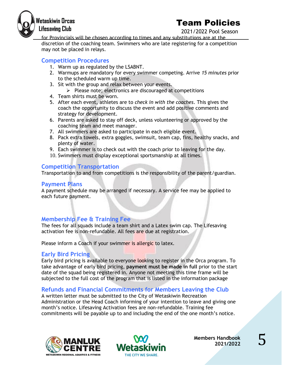

### Team Policies

2021/2022 Pool Season

for Provincials will be chosen according to times and any substitutions are at the discretion of the coaching team. Swimmers who are late registering for a competition may not be placed in relays.

#### <span id="page-5-0"></span>**Competition Procedures**

- 1. Warm up as regulated by the LSABNT.
- 2. Warmups are mandatory for every swimmer competing. Arrive *15 minutes* prior to the scheduled warm up time.
- 3. Sit with the group and relax between your events.
	- ➢ Please note; electronics are discouraged at competitions
- 4. Team shirts must be worn.
- 5. After each event, athletes are to *check in with the coaches*. This gives the coach the opportunity to discuss the event and add positive comments and strategy for development.
- 6. Parents are asked to stay off deck, unless volunteering or approved by the coaching team and meet manager.
- 7. All swimmers are asked to participate in each eligible event.
- 8. Pack extra towels, extra goggles, swimsuit, team cap, fins, healthy snacks, and plenty of water.
- 9. Each swimmer is to check out with the coach prior to leaving for the day.
- 10. Swimmers must display exceptional sportsmanship at all times.

#### <span id="page-5-1"></span>**Competition Transportation**

Transportation to and from competitions is the responsibility of the parent/guardian.

#### <span id="page-5-2"></span>**Payment Plans**

A payment schedule may be arranged if necessary. A service fee may be applied to each future payment.

#### <span id="page-5-3"></span>**Membership Fee & Training Fee**

The fees for all squads include a team shirt and a Latex swim cap. The Lifesaving activation fee is non-refundable. All fees are due at registration.

Please inform a Coach if your swimmer is allergic to latex.

#### <span id="page-5-4"></span>**Early Bird Pricing**

Early bird pricing is available to everyone looking to register in the Orca program. To take advantage of early bird pricing, **payment must be made in full** prior to the start date of the squad being registered in. Anyone not meeting this time frame will be subjected to the full cost of the program that is listed in the information package

#### <span id="page-5-5"></span>**Refunds and Financial Commitments for Members Leaving the Club**

A written letter must be submitted to the City of Wetaskiwin Recreation Administration or the Head Coach informing of your intention to leave and giving one month's notice. Lifesaving Activation fees are non-refundable. Training fee commitments will be payable up to and including the end of the one month's notice.



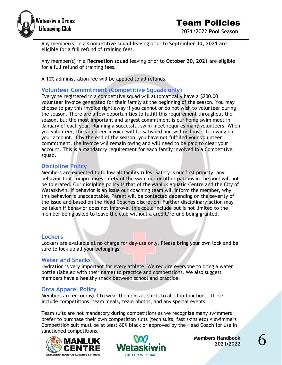

2021/2022 Pool Season

Any member(s) in a **Competitive squad** leaving prior to **September 30, 2021** are eligible for a full refund of training fees.

Any member(s) in a **Recreation squad** leaving prior to **October 30, 2021** are eligible for a full refund of training fees.

A 10% administration fee will be applied to all refunds.

#### <span id="page-6-0"></span>**Volunteer Commitment (Competitive Squads only)**

Everyone registered in a competitive squad will automatically have a \$200.00 volunteer invoice generated for their family at the beginning of the season. You may choose to pay this invoice right away if you cannot or do not wish to volunteer during the season. There are a few opportunities to fulfill this requirement throughout the season, but the most important and largest commitment is our home swim meet in January of each year. Running a successful swim meet requires many volunteers. When you volunteer, the volunteer invoice will be satisfied and will no longer be owing on your account. If by the end of the season, you have not fulfilled your volunteer commitment, the invoice will remain owing and will need to be paid to clear your account. This is a mandatory requirement for each family involved in a Competitive squad.

#### <span id="page-6-1"></span>**Discipline Policy**

Members are expected to follow all facility rules. Safety is our first priority, any behavior that compromises safety of the swimmer or other patrons in the pool will not be tolerated. Our discipline policy is that of the Manluk Aquatic Centre and the City of Wetaskiwin. If behavior is an issue our coaching team will inform the member, why this behavior is unacceptable. Parent will be contacted depending on the severity of the issue and based on the Head Coaches discretion. Further disciplinary action may be taken if behavior does not improve, this could include but is not limited to the member being asked to leave the club without a credit/refund being granted.

#### <span id="page-6-2"></span>**Lockers**

Lockers are available at no charge for day-use only. Please bring your own lock and be sure to lock up all your belongings.

#### <span id="page-6-3"></span>**Water and Snacks**

Hydration is very important for every athlete. We require everyone to bring a water bottle (labeled with their name) to practice and competitions. We also suggest members have a healthy snack between school and practice.

#### <span id="page-6-4"></span>**Orca Apparel Policy**

Members are encouraged to wear their Orca t-shirts to all club functions. These include competitions, team meals, team photos, and any special events.

Team suits are not mandatory during competitions as we recognize many swimmers prefer to purchase their own competition suits (tech suits, fast skins etc) A swimmers Competition suit must be at least 80% black or approved by the Head Coach for use in sanctioned competitions.